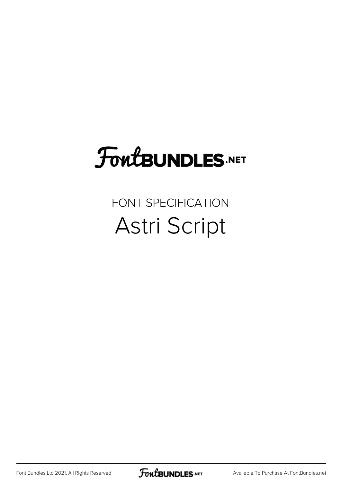## **FoutBUNDLES.NET**

#### FONT SPECIFICATION Astri Script

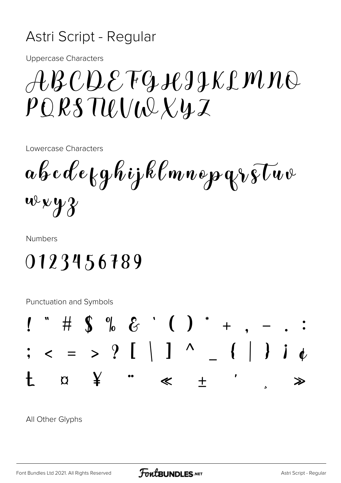#### Astri Script - Regular

**Uppercase Characters** 

## $\mathcal{A}\mathcal{B}\mathcal{C}\mathcal{D}\mathcal{E}\mathcal{T}\mathcal{G}\mathcal{A}\mathcal{G}\mathcal{J}\mathcal{K}\mathcal{L}\mathcal{M}\mathcal{N}\mathcal{O}$  $PQRSTULU\cup Xyz$

Lowercase Characters

 $a\mathscr{C}$ e $\mathscr{C}$ e $\mathscr{C}$ g $\mathscr{C}$ ijk $\mathscr{C}$ mne paz $\mathscr{C}$ v $\mathscr{C}$  $wxyz$ 

**Numbers** 

### 0123456789

**Punctuation and Symbols** 



All Other Glyphs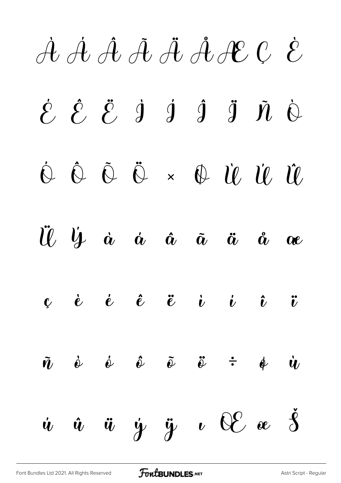À Á Â Ã Ä ÅÆ Ç È

 $\acute{\mathcal{E}}$   $\acute{\mathcal{E}}$   $\dot{\mathcal{J}}$   $\dot{\mathcal{J}}$   $\ddot{\mathcal{J}}$   $\ddot{\mathcal{J}}$   $\ddot{\mathcal{N}}$   $\dot{\mathcal{O}}$ Ó Ô Õ Ö × Ø Ù Ú Û

Ü Ý à á â ã ä å æ

 $\mathbf{c}$  è é  $\mathbf{\hat{e}}$  ë  $\mathbf{\ddot{e}}$  i i  $\mathbf{\ddot{v}}$   $\mathbf{\ddot{v}}$ 

 $\tilde{\boldsymbol{n}}$   $\dot{\boldsymbol{\omega}}$   $\dot{\boldsymbol{\omega}}$   $\tilde{\boldsymbol{\omega}}$   $\tilde{\boldsymbol{\omega}}$   $\dot{\tilde{\boldsymbol{\omega}}}$   $\dot{\tilde{\boldsymbol{\omega}}}$   $\dot{\tilde{\boldsymbol{\omega}}}$   $\dot{\tilde{\boldsymbol{\omega}}}$  $\dot{u}$   $\ddot{u}$   $\ddot{y}$   $\ddot{y}$   $\dot{v}$   $\theta \mathcal{E}$   $\alpha$   $\dot{\beta}$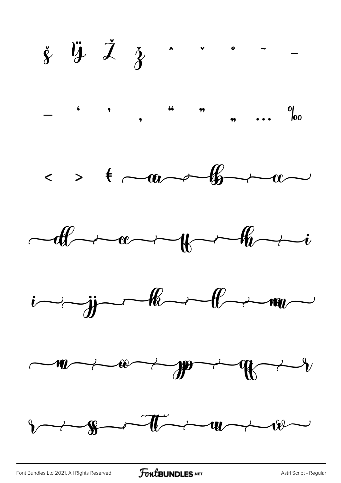$\check{\xi}$   $\ddot{\psi}$   $\check{\lambda}$   $\check{\gamma}$  . . . . .  $\cdots$   $\frac{0}{00}$